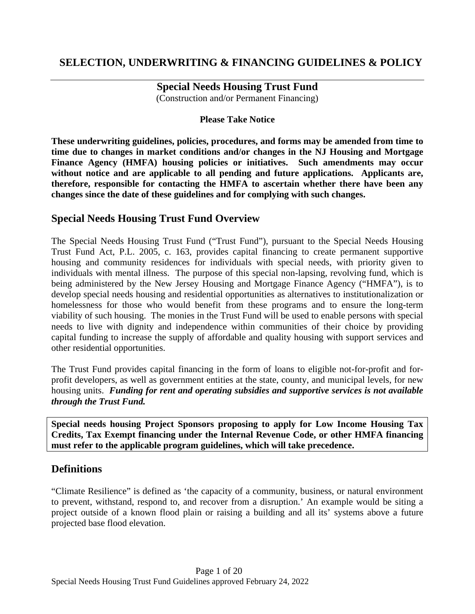## **SELECTION, UNDERWRITING & FINANCING GUIDELINES & POLICY**

**Special Needs Housing Trust Fund**  (Construction and/or Permanent Financing)

### **Please Take Notice**

**These underwriting guidelines, policies, procedures, and forms may be amended from time to time due to changes in market conditions and/or changes in the NJ Housing and Mortgage Finance Agency (HMFA) housing policies or initiatives. Such amendments may occur without notice and are applicable to all pending and future applications. Applicants are, therefore, responsible for contacting the HMFA to ascertain whether there have been any changes since the date of these guidelines and for complying with such changes.** 

## **Special Needs Housing Trust Fund Overview**

The Special Needs Housing Trust Fund ("Trust Fund"), pursuant to the Special Needs Housing Trust Fund Act, P.L. 2005, c. 163, provides capital financing to create permanent supportive housing and community residences for individuals with special needs, with priority given to individuals with mental illness. The purpose of this special non-lapsing, revolving fund, which is being administered by the New Jersey Housing and Mortgage Finance Agency ("HMFA"), is to develop special needs housing and residential opportunities as alternatives to institutionalization or homelessness for those who would benefit from these programs and to ensure the long-term viability of such housing. The monies in the Trust Fund will be used to enable persons with special needs to live with dignity and independence within communities of their choice by providing capital funding to increase the supply of affordable and quality housing with support services and other residential opportunities.

The Trust Fund provides capital financing in the form of loans to eligible not-for-profit and forprofit developers, as well as government entities at the state, county, and municipal levels, for new housing units. *Funding for rent and operating subsidies and supportive services is not available through the Trust Fund.*

**Special needs housing Project Sponsors proposing to apply for Low Income Housing Tax Credits, Tax Exempt financing under the Internal Revenue Code, or other HMFA financing must refer to the applicable program guidelines, which will take precedence.**

## **Definitions**

"Climate Resilience" is defined as 'the capacity of a community, business, or natural environment to prevent, withstand, respond to, and recover from a disruption.' An example would be siting a project outside of a known flood plain or raising a building and all its' systems above a future projected base flood elevation.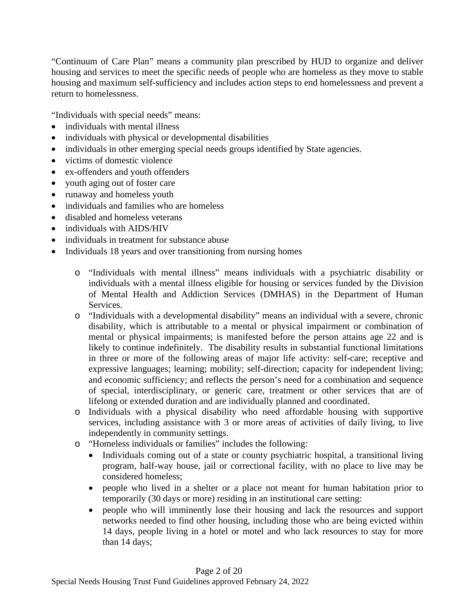"Continuum of Care Plan" means a community plan prescribed by HUD to organize and deliver housing and services to meet the specific needs of people who are homeless as they move to stable housing and maximum self-sufficiency and includes action steps to end homelessness and prevent a return to homelessness.

"Individuals with special needs" means:

- individuals with mental illness
- individuals with physical or developmental disabilities
- individuals in other emerging special needs groups identified by State agencies.
- victims of domestic violence
- ex-offenders and youth offenders
- youth aging out of foster care
- runaway and homeless youth
- individuals and families who are homeless
- disabled and homeless veterans
- individuals with AIDS/HIV
- individuals in treatment for substance abuse
- Individuals 18 years and over transitioning from nursing homes
	- o "Individuals with mental illness" means individuals with a psychiatric disability or individuals with a mental illness eligible for housing or services funded by the Division of Mental Health and Addiction Services (DMHAS) in the Department of Human Services.
	- o "Individuals with a developmental disability" means an individual with a severe, chronic disability, which is attributable to a mental or physical impairment or combination of mental or physical impairments; is manifested before the person attains age 22 and is likely to continue indefinitely. The disability results in substantial functional limitations in three or more of the following areas of major life activity: self-care; receptive and expressive languages; learning; mobility; self-direction; capacity for independent living; and economic sufficiency; and reflects the person's need for a combination and sequence of special, interdisciplinary, or generic care, treatment or other services that are of lifelong or extended duration and are individually planned and coordinated.
	- o Individuals with a physical disability who need affordable housing with supportive services, including assistance with 3 or more areas of activities of daily living, to live independently in community settings.
	- o "Homeless individuals or families" includes the following:
		- Individuals coming out of a state or county psychiatric hospital, a transitional living program, half-way house, jail or correctional facility, with no place to live may be considered homeless;
		- people who lived in a shelter or a place not meant for human habitation prior to temporarily (30 days or more) residing in an institutional care setting:
		- people who will imminently lose their housing and lack the resources and support networks needed to find other housing, including those who are being evicted within 14 days, people living in a hotel or motel and who lack resources to stay for more than 14 days;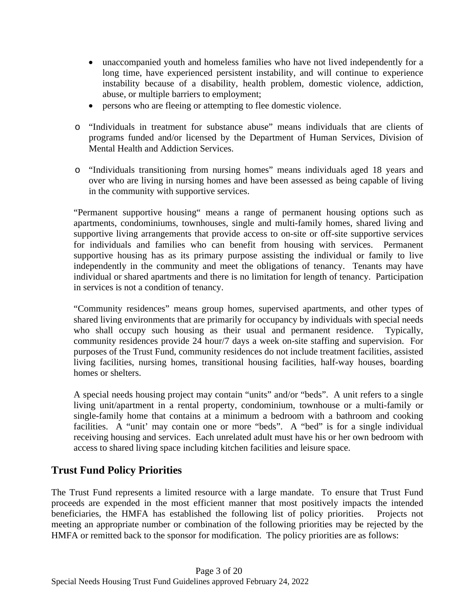- unaccompanied youth and homeless families who have not lived independently for a long time, have experienced persistent instability, and will continue to experience instability because of a disability, health problem, domestic violence, addiction, abuse, or multiple barriers to employment;
- persons who are fleeing or attempting to flee domestic violence.
- o "Individuals in treatment for substance abuse" means individuals that are clients of programs funded and/or licensed by the Department of Human Services, Division of Mental Health and Addiction Services.
- o "Individuals transitioning from nursing homes" means individuals aged 18 years and over who are living in nursing homes and have been assessed as being capable of living in the community with supportive services.

"Permanent supportive housing" means a range of permanent housing options such as apartments, condominiums, townhouses, single and multi-family homes, shared living and supportive living arrangements that provide access to on-site or off-site supportive services for individuals and families who can benefit from housing with services. Permanent supportive housing has as its primary purpose assisting the individual or family to live independently in the community and meet the obligations of tenancy. Tenants may have individual or shared apartments and there is no limitation for length of tenancy. Participation in services is not a condition of tenancy.

"Community residences" means group homes, supervised apartments, and other types of shared living environments that are primarily for occupancy by individuals with special needs who shall occupy such housing as their usual and permanent residence. Typically, community residences provide 24 hour/7 days a week on-site staffing and supervision. For purposes of the Trust Fund, community residences do not include treatment facilities, assisted living facilities, nursing homes, transitional housing facilities, half-way houses, boarding homes or shelters.

A special needs housing project may contain "units" and/or "beds". A unit refers to a single living unit/apartment in a rental property, condominium, townhouse or a multi-family or single-family home that contains at a minimum a bedroom with a bathroom and cooking facilities. A "unit" may contain one or more "beds". A "bed" is for a single individual receiving housing and services. Each unrelated adult must have his or her own bedroom with access to shared living space including kitchen facilities and leisure space.

## **Trust Fund Policy Priorities**

The Trust Fund represents a limited resource with a large mandate. To ensure that Trust Fund proceeds are expended in the most efficient manner that most positively impacts the intended beneficiaries, the HMFA has established the following list of policy priorities. Projects not meeting an appropriate number or combination of the following priorities may be rejected by the HMFA or remitted back to the sponsor for modification. The policy priorities are as follows: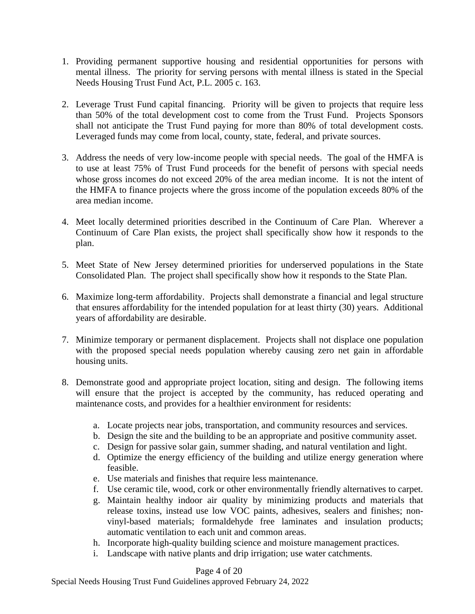- 1. Providing permanent supportive housing and residential opportunities for persons with mental illness. The priority for serving persons with mental illness is stated in the Special Needs Housing Trust Fund Act, P.L. 2005 c. 163.
- 2. Leverage Trust Fund capital financing. Priority will be given to projects that require less than 50% of the total development cost to come from the Trust Fund. Projects Sponsors shall not anticipate the Trust Fund paying for more than 80% of total development costs. Leveraged funds may come from local, county, state, federal, and private sources.
- 3. Address the needs of very low-income people with special needs. The goal of the HMFA is to use at least 75% of Trust Fund proceeds for the benefit of persons with special needs whose gross incomes do not exceed 20% of the area median income. It is not the intent of the HMFA to finance projects where the gross income of the population exceeds 80% of the area median income.
- 4. Meet locally determined priorities described in the Continuum of Care Plan. Wherever a Continuum of Care Plan exists, the project shall specifically show how it responds to the plan.
- 5. Meet State of New Jersey determined priorities for underserved populations in the State Consolidated Plan. The project shall specifically show how it responds to the State Plan.
- 6. Maximize long-term affordability. Projects shall demonstrate a financial and legal structure that ensures affordability for the intended population for at least thirty (30) years. Additional years of affordability are desirable.
- 7. Minimize temporary or permanent displacement. Projects shall not displace one population with the proposed special needs population whereby causing zero net gain in affordable housing units.
- 8. Demonstrate good and appropriate project location, siting and design. The following items will ensure that the project is accepted by the community, has reduced operating and maintenance costs, and provides for a healthier environment for residents:
	- a. Locate projects near jobs, transportation, and community resources and services.
	- b. Design the site and the building to be an appropriate and positive community asset.
	- c. Design for passive solar gain, summer shading, and natural ventilation and light.
	- d. Optimize the energy efficiency of the building and utilize energy generation where feasible.
	- e. Use materials and finishes that require less maintenance.
	- f. Use ceramic tile, wood, cork or other environmentally friendly alternatives to carpet.
	- g. Maintain healthy indoor air quality by minimizing products and materials that release toxins, instead use low VOC paints, adhesives, sealers and finishes; nonvinyl-based materials; formaldehyde free laminates and insulation products; automatic ventilation to each unit and common areas.
	- h. Incorporate high-quality building science and moisture management practices.
	- i. Landscape with native plants and drip irrigation; use water catchments.

Page 4 of 20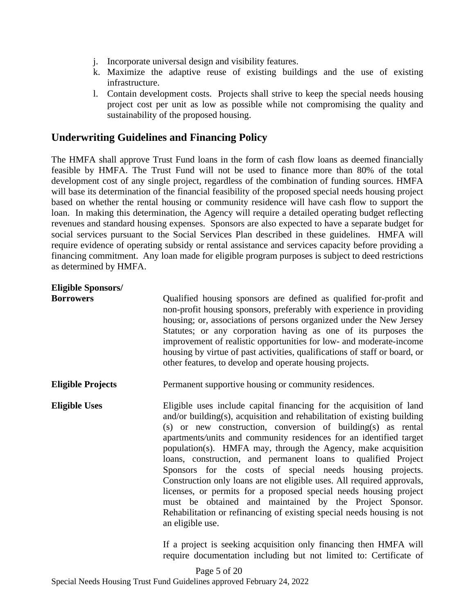- j. Incorporate universal design and visibility features.
- k. Maximize the adaptive reuse of existing buildings and the use of existing infrastructure.
- l. Contain development costs. Projects shall strive to keep the special needs housing project cost per unit as low as possible while not compromising the quality and sustainability of the proposed housing.

## **Underwriting Guidelines and Financing Policy**

The HMFA shall approve Trust Fund loans in the form of cash flow loans as deemed financially feasible by HMFA. The Trust Fund will not be used to finance more than 80% of the total development cost of any single project, regardless of the combination of funding sources. HMFA will base its determination of the financial feasibility of the proposed special needs housing project based on whether the rental housing or community residence will have cash flow to support the loan. In making this determination, the Agency will require a detailed operating budget reflecting revenues and standard housing expenses. Sponsors are also expected to have a separate budget for social services pursuant to the Social Services Plan described in these guidelines. HMFA will require evidence of operating subsidy or rental assistance and services capacity before providing a financing commitment. Any loan made for eligible program purposes is subject to deed restrictions as determined by HMFA.

| <b>Eligible Sponsors/</b><br><b>Borrowers</b> | Qualified housing sponsors are defined as qualified for-profit and<br>non-profit housing sponsors, preferably with experience in providing<br>housing; or, associations of persons organized under the New Jersey<br>Statutes; or any corporation having as one of its purposes the<br>improvement of realistic opportunities for low- and moderate-income<br>housing by virtue of past activities, qualifications of staff or board, or<br>other features, to develop and operate housing projects.                                                                                                                                                                                                                                                                                        |
|-----------------------------------------------|---------------------------------------------------------------------------------------------------------------------------------------------------------------------------------------------------------------------------------------------------------------------------------------------------------------------------------------------------------------------------------------------------------------------------------------------------------------------------------------------------------------------------------------------------------------------------------------------------------------------------------------------------------------------------------------------------------------------------------------------------------------------------------------------|
| <b>Eligible Projects</b>                      | Permanent supportive housing or community residences.                                                                                                                                                                                                                                                                                                                                                                                                                                                                                                                                                                                                                                                                                                                                       |
| <b>Eligible Uses</b>                          | Eligible uses include capital financing for the acquisition of land<br>and/or building(s), acquisition and rehabilitation of existing building<br>(s) or new construction, conversion of building(s) as rental<br>apartments/units and community residences for an identified target<br>population(s). HMFA may, through the Agency, make acquisition<br>loans, construction, and permanent loans to qualified Project<br>Sponsors for the costs of special needs housing projects.<br>Construction only loans are not eligible uses. All required approvals,<br>licenses, or permits for a proposed special needs housing project<br>must be obtained and maintained by the Project Sponsor.<br>Rehabilitation or refinancing of existing special needs housing is not<br>an eligible use. |
|                                               | If a project is seeking acquisition only financing then HMFA will<br>require documentation including but not limited to: Certificate of                                                                                                                                                                                                                                                                                                                                                                                                                                                                                                                                                                                                                                                     |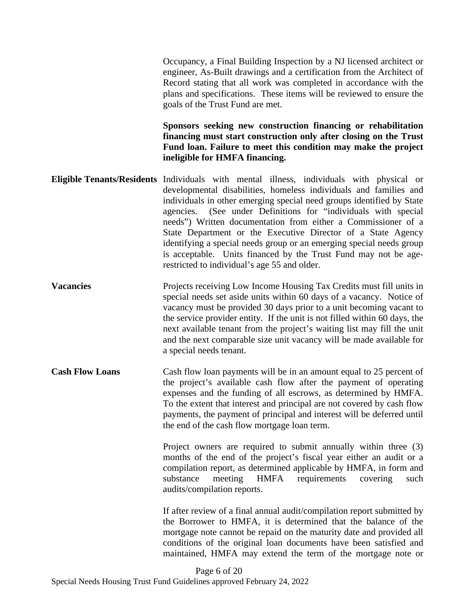Occupancy, a Final Building Inspection by a NJ licensed architect or engineer, As-Built drawings and a certification from the Architect of Record stating that all work was completed in accordance with the plans and specifications. These items will be reviewed to ensure the goals of the Trust Fund are met.

**Sponsors seeking new construction financing or rehabilitation financing must start construction only after closing on the Trust Fund loan. Failure to meet this condition may make the project ineligible for HMFA financing.** 

- **Eligible Tenants/Residents** Individuals with mental illness, individuals with physical or developmental disabilities, homeless individuals and families and individuals in other emerging special need groups identified by State agencies. (See under Definitions for "individuals with special needs") Written documentation from either a Commissioner of a State Department or the Executive Director of a State Agency identifying a special needs group or an emerging special needs group is acceptable. Units financed by the Trust Fund may not be agerestricted to individual's age 55 and older.
- **Vacancies** Projects receiving Low Income Housing Tax Credits must fill units in special needs set aside units within 60 days of a vacancy. Notice of vacancy must be provided 30 days prior to a unit becoming vacant to the service provider entity. If the unit is not filled within 60 days, the next available tenant from the project's waiting list may fill the unit and the next comparable size unit vacancy will be made available for a special needs tenant.
- **Cash Flow Loans** Cash flow loan payments will be in an amount equal to 25 percent of the project's available cash flow after the payment of operating expenses and the funding of all escrows, as determined by HMFA. To the extent that interest and principal are not covered by cash flow payments, the payment of principal and interest will be deferred until the end of the cash flow mortgage loan term.

Project owners are required to submit annually within three (3) months of the end of the project's fiscal year either an audit or a compilation report, as determined applicable by HMFA, in form and substance meeting HMFA requirements covering such audits/compilation reports.

If after review of a final annual audit/compilation report submitted by the Borrower to HMFA, it is determined that the balance of the mortgage note cannot be repaid on the maturity date and provided all conditions of the original loan documents have been satisfied and maintained, HMFA may extend the term of the mortgage note or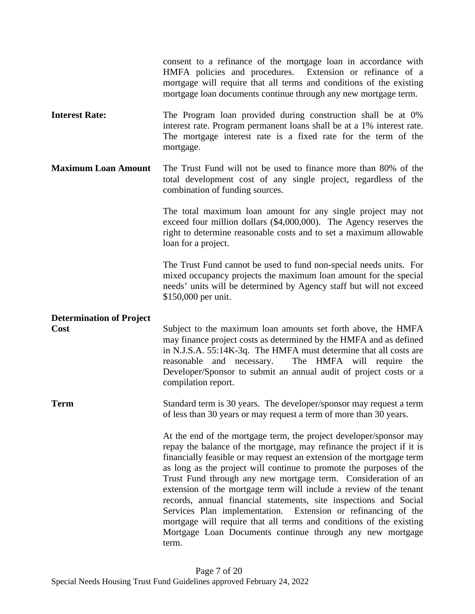|                                         | consent to a refinance of the mortgage loan in accordance with<br>HMFA policies and procedures. Extension or refinance of a<br>mortgage will require that all terms and conditions of the existing<br>mortgage loan documents continue through any new mortgage term.                                                                                                                                                                                                                                                                                                                                                                                                                                                 |  |  |  |  |  |
|-----------------------------------------|-----------------------------------------------------------------------------------------------------------------------------------------------------------------------------------------------------------------------------------------------------------------------------------------------------------------------------------------------------------------------------------------------------------------------------------------------------------------------------------------------------------------------------------------------------------------------------------------------------------------------------------------------------------------------------------------------------------------------|--|--|--|--|--|
| <b>Interest Rate:</b>                   | The Program loan provided during construction shall be at 0%<br>interest rate. Program permanent loans shall be at a 1% interest rate.<br>The mortgage interest rate is a fixed rate for the term of the<br>mortgage.                                                                                                                                                                                                                                                                                                                                                                                                                                                                                                 |  |  |  |  |  |
| <b>Maximum Loan Amount</b>              | The Trust Fund will not be used to finance more than 80% of the<br>total development cost of any single project, regardless of the<br>combination of funding sources.                                                                                                                                                                                                                                                                                                                                                                                                                                                                                                                                                 |  |  |  |  |  |
|                                         | The total maximum loan amount for any single project may not<br>exceed four million dollars (\$4,000,000). The Agency reserves the<br>right to determine reasonable costs and to set a maximum allowable<br>loan for a project.                                                                                                                                                                                                                                                                                                                                                                                                                                                                                       |  |  |  |  |  |
|                                         | The Trust Fund cannot be used to fund non-special needs units. For<br>mixed occupancy projects the maximum loan amount for the special<br>needs' units will be determined by Agency staff but will not exceed<br>\$150,000 per unit.                                                                                                                                                                                                                                                                                                                                                                                                                                                                                  |  |  |  |  |  |
|                                         |                                                                                                                                                                                                                                                                                                                                                                                                                                                                                                                                                                                                                                                                                                                       |  |  |  |  |  |
| <b>Determination of Project</b><br>Cost | Subject to the maximum loan amounts set forth above, the HMFA<br>may finance project costs as determined by the HMFA and as defined<br>in N.J.S.A. 55:14K-3q. The HMFA must determine that all costs are<br>reasonable and necessary.<br>The HMFA will require the<br>Developer/Sponsor to submit an annual audit of project costs or a<br>compilation report.                                                                                                                                                                                                                                                                                                                                                        |  |  |  |  |  |
| <b>Term</b>                             | Standard term is 30 years. The developer/sponsor may request a term<br>of less than 30 years or may request a term of more than 30 years.                                                                                                                                                                                                                                                                                                                                                                                                                                                                                                                                                                             |  |  |  |  |  |
|                                         | At the end of the mortgage term, the project developer/sponsor may<br>repay the balance of the mortgage, may refinance the project if it is<br>financially feasible or may request an extension of the mortgage term<br>as long as the project will continue to promote the purposes of the<br>Trust Fund through any new mortgage term. Consideration of an<br>extension of the mortgage term will include a review of the tenant<br>records, annual financial statements, site inspections and Social<br>Services Plan implementation. Extension or refinancing of the<br>mortgage will require that all terms and conditions of the existing<br>Mortgage Loan Documents continue through any new mortgage<br>term. |  |  |  |  |  |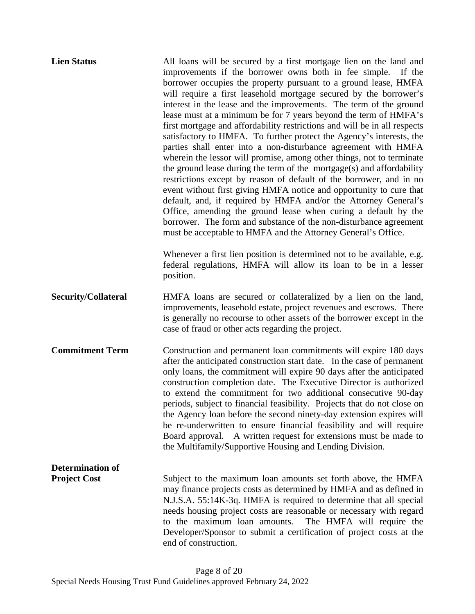| <b>Lien Status</b>                             | All loans will be secured by a first mortgage lien on the land and<br>improvements if the borrower owns both in fee simple. If the<br>borrower occupies the property pursuant to a ground lease, HMFA<br>will require a first leasehold mortgage secured by the borrower's<br>interest in the lease and the improvements. The term of the ground<br>lease must at a minimum be for 7 years beyond the term of HMFA's<br>first mortgage and affordability restrictions and will be in all respects<br>satisfactory to HMFA. To further protect the Agency's interests, the<br>parties shall enter into a non-disturbance agreement with HMFA<br>wherein the lessor will promise, among other things, not to terminate<br>the ground lease during the term of the mortgage(s) and affordability<br>restrictions except by reason of default of the borrower, and in no<br>event without first giving HMFA notice and opportunity to cure that<br>default, and, if required by HMFA and/or the Attorney General's<br>Office, amending the ground lease when curing a default by the<br>borrower. The form and substance of the non-disturbance agreement<br>must be acceptable to HMFA and the Attorney General's Office.<br>Whenever a first lien position is determined not to be available, e.g.<br>federal regulations, HMFA will allow its loan to be in a lesser |
|------------------------------------------------|---------------------------------------------------------------------------------------------------------------------------------------------------------------------------------------------------------------------------------------------------------------------------------------------------------------------------------------------------------------------------------------------------------------------------------------------------------------------------------------------------------------------------------------------------------------------------------------------------------------------------------------------------------------------------------------------------------------------------------------------------------------------------------------------------------------------------------------------------------------------------------------------------------------------------------------------------------------------------------------------------------------------------------------------------------------------------------------------------------------------------------------------------------------------------------------------------------------------------------------------------------------------------------------------------------------------------------------------------------------------|
|                                                | position.                                                                                                                                                                                                                                                                                                                                                                                                                                                                                                                                                                                                                                                                                                                                                                                                                                                                                                                                                                                                                                                                                                                                                                                                                                                                                                                                                           |
| <b>Security/Collateral</b>                     | HMFA loans are secured or collateralized by a lien on the land,<br>improvements, leasehold estate, project revenues and escrows. There<br>is generally no recourse to other assets of the borrower except in the<br>case of fraud or other acts regarding the project.                                                                                                                                                                                                                                                                                                                                                                                                                                                                                                                                                                                                                                                                                                                                                                                                                                                                                                                                                                                                                                                                                              |
| <b>Commitment Term</b>                         | Construction and permanent loan commitments will expire 180 days<br>after the anticipated construction start date. In the case of permanent<br>only loans, the commitment will expire 90 days after the anticipated<br>construction completion date. The Executive Director is authorized<br>to extend the commitment for two additional consecutive 90-day<br>periods, subject to financial feasibility. Projects that do not close on<br>the Agency loan before the second ninety-day extension expires will<br>be re-underwritten to ensure financial feasibility and will require<br>Board approval. A written request for extensions must be made to<br>the Multifamily/Supportive Housing and Lending Division.                                                                                                                                                                                                                                                                                                                                                                                                                                                                                                                                                                                                                                               |
| <b>Determination of</b><br><b>Project Cost</b> | Subject to the maximum loan amounts set forth above, the HMFA<br>may finance projects costs as determined by HMFA and as defined in<br>N.J.S.A. 55:14K-3q. HMFA is required to determine that all special<br>needs housing project costs are reasonable or necessary with regard<br>to the maximum loan amounts.<br>The HMFA will require the<br>Developer/Sponsor to submit a certification of project costs at the<br>end of construction.                                                                                                                                                                                                                                                                                                                                                                                                                                                                                                                                                                                                                                                                                                                                                                                                                                                                                                                        |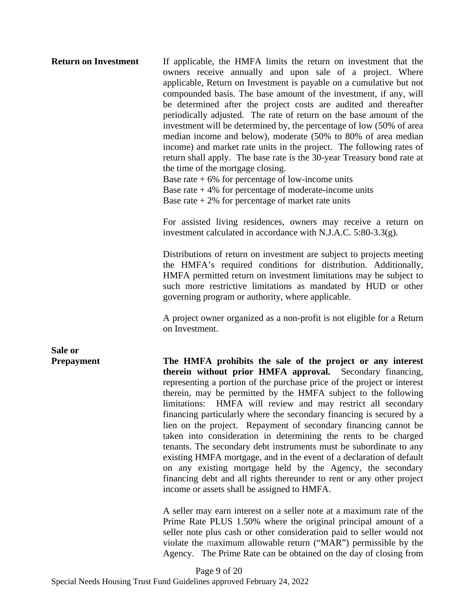| <b>Return on Investment</b>  | If applicable, the HMFA limits the return on investment that the<br>owners receive annually and upon sale of a project. Where<br>applicable, Return on Investment is payable on a cumulative but not<br>compounded basis. The base amount of the investment, if any, will<br>be determined after the project costs are audited and thereafter<br>periodically adjusted. The rate of return on the base amount of the<br>investment will be determined by, the percentage of low (50% of area<br>median income and below), moderate (50% to 80% of area median<br>income) and market rate units in the project. The following rates of<br>return shall apply. The base rate is the 30-year Treasury bond rate at<br>the time of the mortgage closing.<br>Base rate $+6\%$ for percentage of low-income units<br>Base rate $+4\%$ for percentage of moderate-income units<br>Base rate $+2\%$ for percentage of market rate units |  |  |  |  |  |  |
|------------------------------|---------------------------------------------------------------------------------------------------------------------------------------------------------------------------------------------------------------------------------------------------------------------------------------------------------------------------------------------------------------------------------------------------------------------------------------------------------------------------------------------------------------------------------------------------------------------------------------------------------------------------------------------------------------------------------------------------------------------------------------------------------------------------------------------------------------------------------------------------------------------------------------------------------------------------------|--|--|--|--|--|--|
|                              | For assisted living residences, owners may receive a return on<br>investment calculated in accordance with N.J.A.C. 5:80-3.3(g).                                                                                                                                                                                                                                                                                                                                                                                                                                                                                                                                                                                                                                                                                                                                                                                                |  |  |  |  |  |  |
|                              | Distributions of return on investment are subject to projects meeting<br>the HMFA's required conditions for distribution. Additionally,<br>HMFA permitted return on investment limitations may be subject to<br>such more restrictive limitations as mandated by HUD or other<br>governing program or authority, where applicable.                                                                                                                                                                                                                                                                                                                                                                                                                                                                                                                                                                                              |  |  |  |  |  |  |
|                              | A project owner organized as a non-profit is not eligible for a Return<br>on Investment.                                                                                                                                                                                                                                                                                                                                                                                                                                                                                                                                                                                                                                                                                                                                                                                                                                        |  |  |  |  |  |  |
| Sale or<br><b>Prepayment</b> | The HMFA prohibits the sale of the project or any interest<br>therein without prior HMFA approval. Secondary financing,<br>representing a portion of the purchase price of the project or interest<br>therein, may be permitted by the HMFA subject to the following<br>limitations: HMFA will review and may restrict all secondary<br>financing particularly where the secondary financing is secured by a<br>lien on the project. Repayment of secondary financing cannot be<br>taken into consideration in determining the rents to be charged<br>tenants. The secondary debt instruments must be subordinate to any<br>existing HMFA mortgage, and in the event of a declaration of default<br>on any existing mortgage held by the Agency, the secondary<br>financing debt and all rights thereunder to rent or any other project<br>income or assets shall be assigned to HMFA.                                          |  |  |  |  |  |  |
|                              | A seller may earn interest on a seller note at a maximum rate of the<br>Prime Rate PLUS 1.50% where the original principal amount of a<br>seller note plus cash or other consideration paid to seller would not<br>violate the maximum allowable return ("MAR") permissible by the<br>Agency. The Prime Rate can be obtained on the day of closing from                                                                                                                                                                                                                                                                                                                                                                                                                                                                                                                                                                         |  |  |  |  |  |  |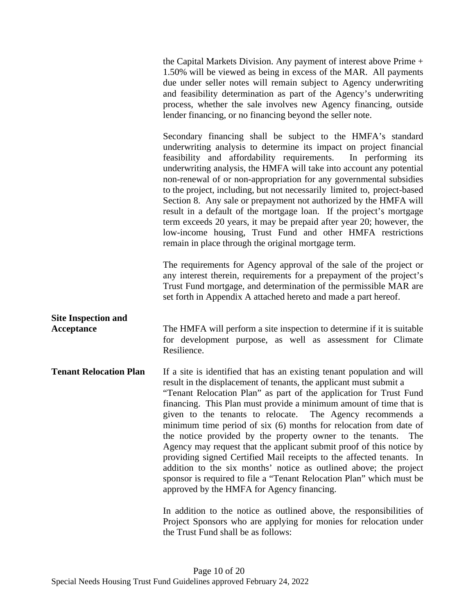the Capital Markets Division. Any payment of interest above Prime + 1.50% will be viewed as being in excess of the MAR. All payments due under seller notes will remain subject to Agency underwriting and feasibility determination as part of the Agency's underwriting process, whether the sale involves new Agency financing, outside lender financing, or no financing beyond the seller note.

Secondary financing shall be subject to the HMFA's standard underwriting analysis to determine its impact on project financial feasibility and affordability requirements. In performing its underwriting analysis, the HMFA will take into account any potential non-renewal of or non-appropriation for any governmental subsidies to the project, including, but not necessarily limited to, project-based Section 8. Any sale or prepayment not authorized by the HMFA will result in a default of the mortgage loan. If the project's mortgage term exceeds 20 years, it may be prepaid after year 20; however, the low-income housing, Trust Fund and other HMFA restrictions remain in place through the original mortgage term.

The requirements for Agency approval of the sale of the project or any interest therein, requirements for a prepayment of the project's Trust Fund mortgage, and determination of the permissible MAR are set forth in Appendix A attached hereto and made a part hereof.

# **Site Inspection and**

**Acceptance** The HMFA will perform a site inspection to determine if it is suitable for development purpose, as well as assessment for Climate Resilience.

**Tenant Relocation Plan** If a site is identified that has an existing tenant population and will result in the displacement of tenants, the applicant must submit a "Tenant Relocation Plan" as part of the application for Trust Fund financing. This Plan must provide a minimum amount of time that is given to the tenants to relocate. The Agency recommends a minimum time period of six (6) months for relocation from date of the notice provided by the property owner to the tenants. The Agency may request that the applicant submit proof of this notice by providing signed Certified Mail receipts to the affected tenants. In addition to the six months' notice as outlined above; the project sponsor is required to file a "Tenant Relocation Plan" which must be approved by the HMFA for Agency financing.

> In addition to the notice as outlined above, the responsibilities of Project Sponsors who are applying for monies for relocation under the Trust Fund shall be as follows: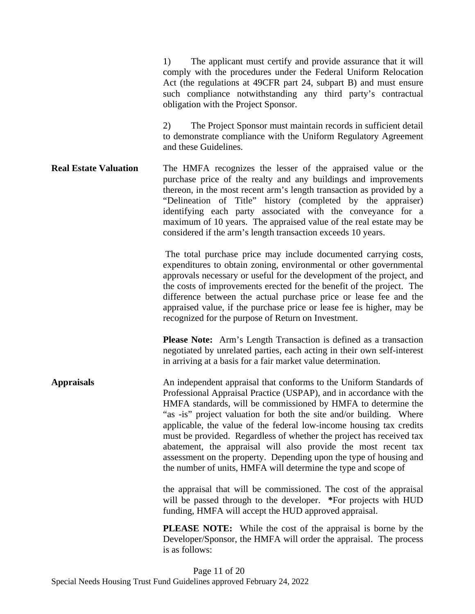1) The applicant must certify and provide assurance that it will comply with the procedures under the Federal Uniform Relocation Act (the regulations at 49CFR part 24, subpart B) and must ensure such compliance notwithstanding any third party's contractual obligation with the Project Sponsor. 2) The Project Sponsor must maintain records in sufficient detail to demonstrate compliance with the Uniform Regulatory Agreement and these Guidelines. **Real Estate Valuation** The HMFA recognizes the lesser of the appraised value or the purchase price of the realty and any buildings and improvements thereon, in the most recent arm's length transaction as provided by a "Delineation of Title" history (completed by the appraiser) identifying each party associated with the conveyance for a maximum of 10 years. The appraised value of the real estate may be considered if the arm's length transaction exceeds 10 years. The total purchase price may include documented carrying costs, expenditures to obtain zoning, environmental or other governmental approvals necessary or useful for the development of the project, and the costs of improvements erected for the benefit of the project. The difference between the actual purchase price or lease fee and the appraised value, if the purchase price or lease fee is higher, may be recognized for the purpose of Return on Investment. **Please Note:** Arm's Length Transaction is defined as a transaction negotiated by unrelated parties, each acting in their own self-interest in arriving at a basis for a fair market value determination. **Appraisals** An independent appraisal that conforms to the Uniform Standards of Professional Appraisal Practice (USPAP), and in accordance with the HMFA standards, will be commissioned by HMFA to determine the "as -is" project valuation for both the site and/or building. Where applicable, the value of the federal low-income housing tax credits must be provided. Regardless of whether the project has received tax abatement, the appraisal will also provide the most recent tax assessment on the property. Depending upon the type of housing and the number of units, HMFA will determine the type and scope of the appraisal that will be commissioned. The cost of the appraisal will be passed through to the developer. **\***For projects with HUD funding, HMFA will accept the HUD approved appraisal. **PLEASE NOTE:** While the cost of the appraisal is borne by the Developer/Sponsor, the HMFA will order the appraisal. The process is as follows: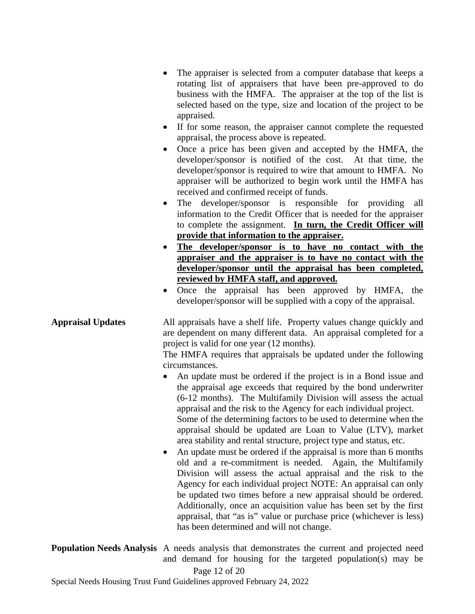- The appraiser is selected from a computer database that keeps a rotating list of appraisers that have been pre-approved to do business with the HMFA. The appraiser at the top of the list is selected based on the type, size and location of the project to be appraised.
- If for some reason, the appraiser cannot complete the requested appraisal, the process above is repeated.
- Once a price has been given and accepted by the HMFA, the developer/sponsor is notified of the cost. At that time, the developer/sponsor is required to wire that amount to HMFA. No appraiser will be authorized to begin work until the HMFA has received and confirmed receipt of funds.
- The developer/sponsor is responsible for providing all information to the Credit Officer that is needed for the appraiser to complete the assignment. **In turn, the Credit Officer will provide that information to the appraiser.**
- **The developer/sponsor is to have no contact with the appraiser and the appraiser is to have no contact with the developer/sponsor until the appraisal has been completed, reviewed by HMFA staff, and approved.**
- Once the appraisal has been approved by HMFA, the developer/sponsor will be supplied with a copy of the appraisal.

**Appraisal Updates** All appraisals have a shelf life. Property values change quickly and are dependent on many different data. An appraisal completed for a project is valid for one year (12 months).

The HMFA requires that appraisals be updated under the following circumstances.

- An update must be ordered if the project is in a Bond issue and the appraisal age exceeds that required by the bond underwriter (6-12 months). The Multifamily Division will assess the actual appraisal and the risk to the Agency for each individual project. Some of the determining factors to be used to determine when the appraisal should be updated are Loan to Value (LTV), market area stability and rental structure, project type and status, etc.
- An update must be ordered if the appraisal is more than 6 months old and a re-commitment is needed. Again, the Multifamily Division will assess the actual appraisal and the risk to the Agency for each individual project NOTE: An appraisal can only be updated two times before a new appraisal should be ordered. Additionally, once an acquisition value has been set by the first appraisal, that "as is" value or purchase price (whichever is less) has been determined and will not change.

**Population Needs Analysis** A needs analysis that demonstrates the current and projected need and demand for housing for the targeted population(s) may be

Page 12 of 20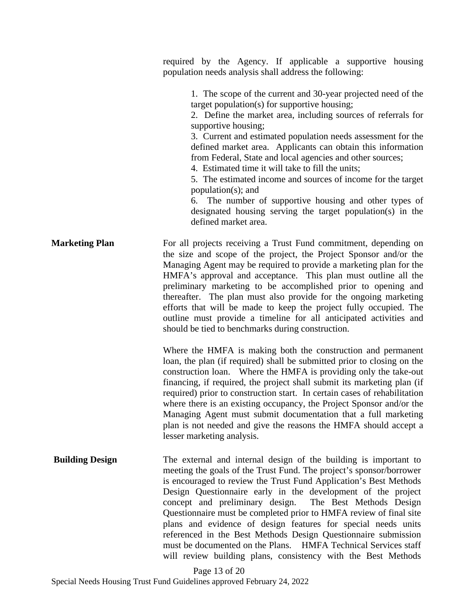required by the Agency. If applicable a supportive housing population needs analysis shall address the following:

1. The scope of the current and 30-year projected need of the target population(s) for supportive housing; 2. Define the market area, including sources of referrals for supportive housing; 3. Current and estimated population needs assessment for the defined market area. Applicants can obtain this information from Federal, State and local agencies and other sources; 4. Estimated time it will take to fill the units; 5. The estimated income and sources of income for the target population(s); and 6. The number of supportive housing and other types of designated housing serving the target population(s) in the defined market area. **Marketing Plan** For all projects receiving a Trust Fund commitment, depending on the size and scope of the project, the Project Sponsor and/or the Managing Agent may be required to provide a marketing plan for the HMFA's approval and acceptance. This plan must outline all the preliminary marketing to be accomplished prior to opening and thereafter. The plan must also provide for the ongoing marketing efforts that will be made to keep the project fully occupied. The outline must provide a timeline for all anticipated activities and should be tied to benchmarks during construction. Where the HMFA is making both the construction and permanent loan, the plan (if required) shall be submitted prior to closing on the construction loan. Where the HMFA is providing only the take-out financing, if required, the project shall submit its marketing plan (if required) prior to construction start. In certain cases of rehabilitation where there is an existing occupancy, the Project Sponsor and/or the Managing Agent must submit documentation that a full marketing plan is not needed and give the reasons the HMFA should accept a lesser marketing analysis. **Building Design** The external and internal design of the building is important to meeting the goals of the Trust Fund. The project's sponsor/borrower is encouraged to review the Trust Fund Application's Best Methods Design Questionnaire early in the development of the project concept and preliminary design. The Best Methods Design Questionnaire must be completed prior to HMFA review of final site plans and evidence of design features for special needs units referenced in the Best Methods Design Questionnaire submission must be documented on the Plans. HMFA Technical Services staff will review building plans, consistency with the Best Methods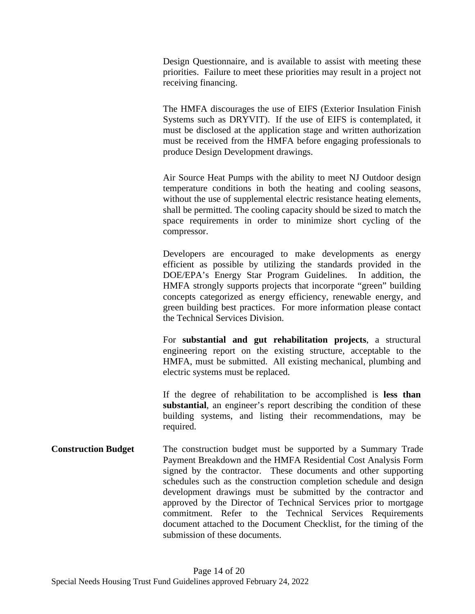Design Questionnaire, and is available to assist with meeting these priorities. Failure to meet these priorities may result in a project not receiving financing.

The HMFA discourages the use of EIFS (Exterior Insulation Finish Systems such as DRYVIT). If the use of EIFS is contemplated, it must be disclosed at the application stage and written authorization must be received from the HMFA before engaging professionals to produce Design Development drawings.

Air Source Heat Pumps with the ability to meet NJ Outdoor design temperature conditions in both the heating and cooling seasons, without the use of supplemental electric resistance heating elements, shall be permitted. The cooling capacity should be sized to match the space requirements in order to minimize short cycling of the compressor.

Developers are encouraged to make developments as energy efficient as possible by utilizing the standards provided in the DOE/EPA's Energy Star Program Guidelines. In addition, the HMFA strongly supports projects that incorporate "green" building concepts categorized as energy efficiency, renewable energy, and green building best practices. For more information please contact the Technical Services Division.

For **substantial and gut rehabilitation projects**, a structural engineering report on the existing structure, acceptable to the HMFA, must be submitted. All existing mechanical, plumbing and electric systems must be replaced.

If the degree of rehabilitation to be accomplished is **less than substantial**, an engineer's report describing the condition of these building systems, and listing their recommendations, may be required.

**Construction Budget** The construction budget must be supported by a Summary Trade Payment Breakdown and the HMFA Residential Cost Analysis Form signed by the contractor. These documents and other supporting schedules such as the construction completion schedule and design development drawings must be submitted by the contractor and approved by the Director of Technical Services prior to mortgage commitment. Refer to the Technical Services Requirements document attached to the Document Checklist, for the timing of the submission of these documents.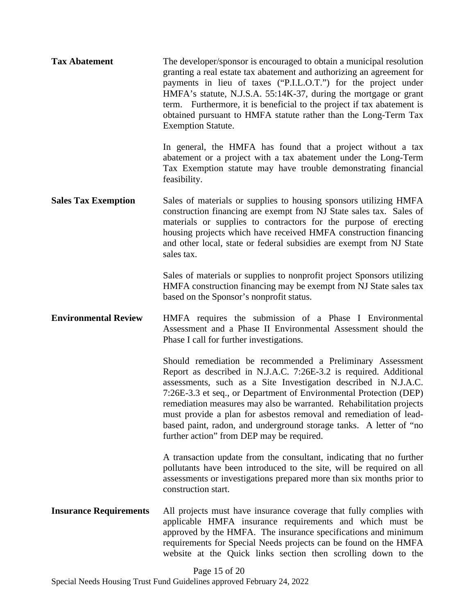| <b>Tax Abatement</b>        | The developer/sponsor is encouraged to obtain a municipal resolution<br>granting a real estate tax abatement and authorizing an agreement for<br>payments in lieu of taxes ("P.I.L.O.T.") for the project under<br>HMFA's statute, N.J.S.A. 55:14K-37, during the mortgage or grant<br>term. Furthermore, it is beneficial to the project if tax abatement is<br>obtained pursuant to HMFA statute rather than the Long-Term Tax<br><b>Exemption Statute.</b>                                                                           |
|-----------------------------|-----------------------------------------------------------------------------------------------------------------------------------------------------------------------------------------------------------------------------------------------------------------------------------------------------------------------------------------------------------------------------------------------------------------------------------------------------------------------------------------------------------------------------------------|
|                             | In general, the HMFA has found that a project without a tax<br>abatement or a project with a tax abatement under the Long-Term<br>Tax Exemption statute may have trouble demonstrating financial<br>feasibility.                                                                                                                                                                                                                                                                                                                        |
| <b>Sales Tax Exemption</b>  | Sales of materials or supplies to housing sponsors utilizing HMFA<br>construction financing are exempt from NJ State sales tax. Sales of<br>materials or supplies to contractors for the purpose of erecting<br>housing projects which have received HMFA construction financing<br>and other local, state or federal subsidies are exempt from NJ State<br>sales tax.                                                                                                                                                                  |
|                             | Sales of materials or supplies to nonprofit project Sponsors utilizing<br>HMFA construction financing may be exempt from NJ State sales tax<br>based on the Sponsor's nonprofit status.                                                                                                                                                                                                                                                                                                                                                 |
|                             |                                                                                                                                                                                                                                                                                                                                                                                                                                                                                                                                         |
| <b>Environmental Review</b> | HMFA requires the submission of a Phase I Environmental<br>Assessment and a Phase II Environmental Assessment should the<br>Phase I call for further investigations.                                                                                                                                                                                                                                                                                                                                                                    |
|                             | Should remediation be recommended a Preliminary Assessment<br>Report as described in N.J.A.C. 7:26E-3.2 is required. Additional<br>assessments, such as a Site Investigation described in N.J.A.C.<br>7:26E-3.3 et seq., or Department of Environmental Protection (DEP)<br>remediation measures may also be warranted. Rehabilitation projects<br>must provide a plan for asbestos removal and remediation of lead-<br>based paint, radon, and underground storage tanks. A letter of "no<br>further action" from DEP may be required. |
|                             | A transaction update from the consultant, indicating that no further<br>pollutants have been introduced to the site, will be required on all<br>assessments or investigations prepared more than six months prior to<br>construction start.                                                                                                                                                                                                                                                                                             |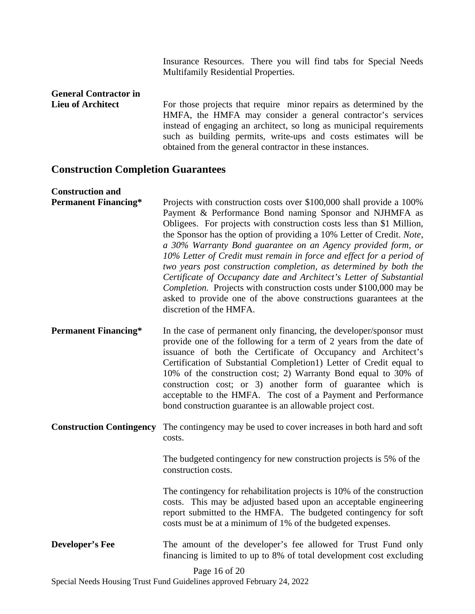Insurance Resources. There you will find tabs for Special Needs Multifamily Residential Properties.

# **General Contractor in**

Lieu of Architect For those projects that require minor repairs as determined by the HMFA, the HMFA may consider a general contractor's services instead of engaging an architect, so long as municipal requirements such as building permits, write-ups and costs estimates will be obtained from the general contractor in these instances.

#### **Construction Completion Guarantees**

#### **Construction and**

**Permanent Financing\*** Projects with construction costs over \$100,000 shall provide a 100% Payment & Performance Bond naming Sponsor and NJHMFA as Obligees. For projects with construction costs less than \$1 Million, the Sponsor has the option of providing a 10% Letter of Credit. *Note, a 30% Warranty Bond guarantee on an Agency provided form, or 10% Letter of Credit must remain in force and effect for a period of two years post construction completion, as determined by both the Certificate of Occupancy date and Architect's Letter of Substantial Completion.* Projects with construction costs under \$100,000 may be asked to provide one of the above constructions guarantees at the discretion of the HMFA.

- **Permanent Financing\*** In the case of permanent only financing, the developer/sponsor must provide one of the following for a term of 2 years from the date of issuance of both the Certificate of Occupancy and Architect's Certification of Substantial Completion1) Letter of Credit equal to 10% of the construction cost; 2) Warranty Bond equal to 30% of construction cost; or 3) another form of guarantee which is acceptable to the HMFA. The cost of a Payment and Performance bond construction guarantee is an allowable project cost.
- **Construction Contingency** The contingency may be used to cover increases in both hard and soft costs.

The budgeted contingency for new construction projects is 5% of the construction costs.

The contingency for rehabilitation projects is 10% of the construction costs. This may be adjusted based upon an acceptable engineering report submitted to the HMFA. The budgeted contingency for soft costs must be at a minimum of 1% of the budgeted expenses.

**Developer's Fee** The amount of the developer's fee allowed for Trust Fund only financing is limited to up to 8% of total development cost excluding

Page 16 of 20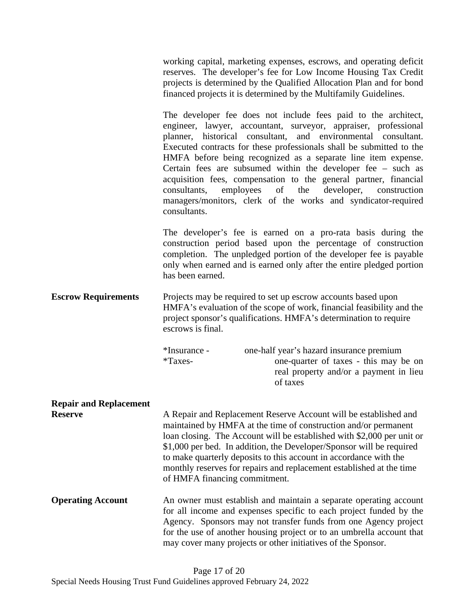working capital, marketing expenses, escrows, and operating deficit reserves. The developer's fee for Low Income Housing Tax Credit projects is determined by the Qualified Allocation Plan and for bond financed projects it is determined by the Multifamily Guidelines.

The developer fee does not include fees paid to the architect, engineer, lawyer, accountant, surveyor, appraiser, professional planner, historical consultant, and environmental consultant. Executed contracts for these professionals shall be submitted to the HMFA before being recognized as a separate line item expense. Certain fees are subsumed within the developer fee – such as acquisition fees, compensation to the general partner, financial consultants, employees of the developer, construction managers/monitors, clerk of the works and syndicator-required consultants.

The developer's fee is earned on a pro-rata basis during the construction period based upon the percentage of construction completion. The unpledged portion of the developer fee is payable only when earned and is earned only after the entire pledged portion has been earned.

**Escrow Requirements** Projects may be required to set up escrow accounts based upon HMFA's evaluation of the scope of work, financial feasibility and the project sponsor's qualifications. HMFA's determination to require escrows is final.

| *Insurance - | one-half year's hazard insurance premium |
|--------------|------------------------------------------|
| $*Taxes-$    | one-quarter of taxes - this may be on    |
|              | real property and/or a payment in lieu   |
|              | of taxes                                 |

# **Repair and Replacement**

**Reserve** A Repair and Replacement Reserve Account will be established and maintained by HMFA at the time of construction and/or permanent loan closing. The Account will be established with \$2,000 per unit or \$1,000 per bed. In addition, the Developer/Sponsor will be required to make quarterly deposits to this account in accordance with the monthly reserves for repairs and replacement established at the time of HMFA financing commitment.

**Operating Account** An owner must establish and maintain a separate operating account for all income and expenses specific to each project funded by the Agency. Sponsors may not transfer funds from one Agency project for the use of another housing project or to an umbrella account that may cover many projects or other initiatives of the Sponsor.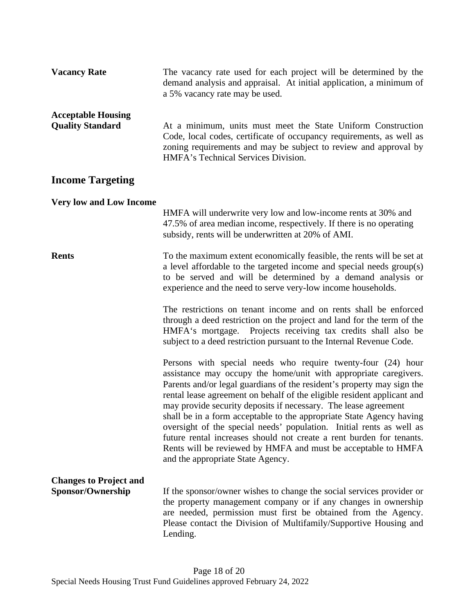| <b>Vacancy Rate</b>                                  | The vacancy rate used for each project will be determined by the<br>demand analysis and appraisal. At initial application, a minimum of<br>a 5% vacancy rate may be used.                                                                                                                                                                                                                                                                                                                                                                                                                                                                                                              |  |  |  |  |  |  |
|------------------------------------------------------|----------------------------------------------------------------------------------------------------------------------------------------------------------------------------------------------------------------------------------------------------------------------------------------------------------------------------------------------------------------------------------------------------------------------------------------------------------------------------------------------------------------------------------------------------------------------------------------------------------------------------------------------------------------------------------------|--|--|--|--|--|--|
| <b>Acceptable Housing</b><br><b>Quality Standard</b> | At a minimum, units must meet the State Uniform Construction<br>Code, local codes, certificate of occupancy requirements, as well as<br>zoning requirements and may be subject to review and approval by<br>HMFA's Technical Services Division.                                                                                                                                                                                                                                                                                                                                                                                                                                        |  |  |  |  |  |  |
| <b>Income Targeting</b>                              |                                                                                                                                                                                                                                                                                                                                                                                                                                                                                                                                                                                                                                                                                        |  |  |  |  |  |  |
| <b>Very low and Low Income</b>                       | HMFA will underwrite very low and low-income rents at 30% and<br>47.5% of area median income, respectively. If there is no operating<br>subsidy, rents will be underwritten at 20% of AMI.                                                                                                                                                                                                                                                                                                                                                                                                                                                                                             |  |  |  |  |  |  |
| <b>Rents</b>                                         | To the maximum extent economically feasible, the rents will be set at<br>a level affordable to the targeted income and special needs group(s)<br>to be served and will be determined by a demand analysis or<br>experience and the need to serve very-low income households.                                                                                                                                                                                                                                                                                                                                                                                                           |  |  |  |  |  |  |
|                                                      | The restrictions on tenant income and on rents shall be enforced<br>through a deed restriction on the project and land for the term of the<br>HMFA's mortgage. Projects receiving tax credits shall also be<br>subject to a deed restriction pursuant to the Internal Revenue Code.                                                                                                                                                                                                                                                                                                                                                                                                    |  |  |  |  |  |  |
|                                                      | Persons with special needs who require twenty-four (24) hour<br>assistance may occupy the home/unit with appropriate caregivers.<br>Parents and/or legal guardians of the resident's property may sign the<br>rental lease agreement on behalf of the eligible resident applicant and<br>may provide security deposits if necessary. The lease agreement<br>shall be in a form acceptable to the appropriate State Agency having<br>oversight of the special needs' population. Initial rents as well as<br>future rental increases should not create a rent burden for tenants.<br>Rents will be reviewed by HMFA and must be acceptable to HMFA<br>and the appropriate State Agency. |  |  |  |  |  |  |
| <b>Changes to Project and</b><br>Sponsor/Ownership   | If the sponsor/owner wishes to change the social services provider or<br>the property management company or if any changes in ownership<br>are needed, permission must first be obtained from the Agency.<br>Please contact the Division of Multifamily/Supportive Housing and<br>Lending.                                                                                                                                                                                                                                                                                                                                                                                             |  |  |  |  |  |  |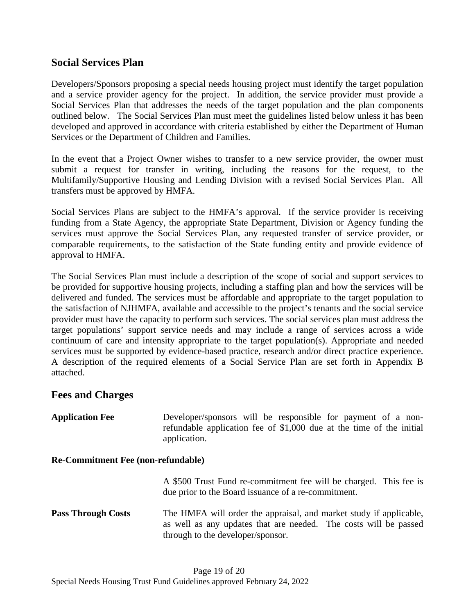### **Social Services Plan**

Developers/Sponsors proposing a special needs housing project must identify the target population and a service provider agency for the project. In addition, the service provider must provide a Social Services Plan that addresses the needs of the target population and the plan components outlined below. The Social Services Plan must meet the guidelines listed below unless it has been developed and approved in accordance with criteria established by either the Department of Human Services or the Department of Children and Families.

In the event that a Project Owner wishes to transfer to a new service provider, the owner must submit a request for transfer in writing, including the reasons for the request, to the Multifamily/Supportive Housing and Lending Division with a revised Social Services Plan. All transfers must be approved by HMFA.

Social Services Plans are subject to the HMFA's approval. If the service provider is receiving funding from a State Agency, the appropriate State Department, Division or Agency funding the services must approve the Social Services Plan, any requested transfer of service provider, or comparable requirements, to the satisfaction of the State funding entity and provide evidence of approval to HMFA.

The Social Services Plan must include a description of the scope of social and support services to be provided for supportive housing projects, including a staffing plan and how the services will be delivered and funded. The services must be affordable and appropriate to the target population to the satisfaction of NJHMFA, available and accessible to the project's tenants and the social service provider must have the capacity to perform such services. The social services plan must address the target populations' support service needs and may include a range of services across a wide continuum of care and intensity appropriate to the target population(s). Appropriate and needed services must be supported by evidence-based practice, research and/or direct practice experience. A description of the required elements of a Social Service Plan are set forth in Appendix B attached.

### **Fees and Charges**

| <b>Application Fee</b> | Developer/sponsors will be responsible for payment of a non-         |  |  |  |  |  |
|------------------------|----------------------------------------------------------------------|--|--|--|--|--|
|                        | refundable application fee of \$1,000 due at the time of the initial |  |  |  |  |  |
|                        | application.                                                         |  |  |  |  |  |

#### **Re-Commitment Fee (non-refundable)**

A \$500 Trust Fund re-commitment fee will be charged. This fee is due prior to the Board issuance of a re-commitment.

**Pass Through Costs** The HMFA will order the appraisal, and market study if applicable, as well as any updates that are needed. The costs will be passed through to the developer/sponsor.